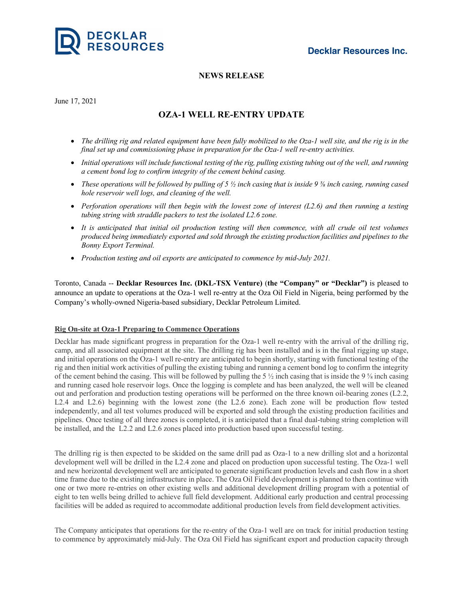

## **NEWS RELEASE**

June 17, 2021

# **OZA-1 WELL RE-ENTRY UPDATE**

- The drilling rig and related equipment have been fully mobilized to the Oza-1 well site, and the rig is in the *final set up and commissioning phase in preparation for the Oza-1 well re-entry activities.*
- Initial operations will include functional testing of the rig, pulling existing tubing out of the well, and running *a cement bond log to confirm integrity of the cement behind casing.*
- These operations will be followed by pulling of 5  $\frac{1}{2}$  inch casing that is inside 9  $\frac{1}{8}$  inch casing, running cased *hole reservoir well logs, and cleaning of the well.*
- Perforation operations will then begin with the lowest zone of interest  $(L2.6)$  and then running a testing *tubing string with straddle packers to test the isolated L2.6 zone.*
- It is anticipated that initial oil production testing will then commence, with all crude oil test volumes *produced being immediately exported and sold through the existing production facilities and pipelines to the Bonny Export Terminal.*
- *Production testing and oil exports are anticipated to commence by mid-July 2021.*

Toronto, Canada -- **Decklar Resources Inc. (DKL-TSX Venture)** (**the "Company" or "Decklar")** is pleased to announce an update to operations at the Oza-1 well re-entry at the Oza Oil Field in Nigeria, being performed by the Company's wholly-owned Nigeria-based subsidiary, Decklar Petroleum Limited.

### **Rig On-site at Oza-1 Preparing to Commence Operations**

Decklar has made significant progress in preparation for the Oza-1 well re-entry with the arrival of the drilling rig, camp, and all associated equipment at the site. The drilling rig has been installed and is in the final rigging up stage, and initial operations on the Oza-1 well re-entry are anticipated to begin shortly, starting with functional testing of the rig and then initial work activities of pulling the existing tubing and running a cement bond log to confirm the integrity of the cement behind the casing. This will be followed by pulling the 5  $\frac{1}{2}$  inch casing that is inside the 9  $\frac{1}{2}$  inch casing and running cased hole reservoir logs. Once the logging is complete and has been analyzed, the well will be cleaned out and perforation and production testing operations will be performed on the three known oil-bearing zones (L2.2, L2.4 and L2.6) beginning with the lowest zone (the L2.6 zone). Each zone will be production flow tested independently, and all test volumes produced will be exported and sold through the existing production facilities and pipelines. Once testing of all three zones is completed, it is anticipated that a final dual-tubing string completion will be installed, and the L2.2 and L2.6 zones placed into production based upon successful testing.

The drilling rig is then expected to be skidded on the same drill pad as Oza-1 to a new drilling slot and a horizontal development well will be drilled in the L2.4 zone and placed on production upon successful testing. The Oza-1 well and new horizontal development well are anticipated to generate significant production levels and cash flow in a short time frame due to the existing infrastructure in place. The Oza Oil Field development is planned to then continue with one or two more re-entries on other existing wells and additional development drilling program with a potential of eight to ten wells being drilled to achieve full field development. Additional early production and central processing facilities will be added as required to accommodate additional production levels from field development activities.

The Company anticipates that operations for the re-entry of the Oza-1 well are on track for initial production testing to commence by approximately mid-July. The Oza Oil Field has significant export and production capacity through